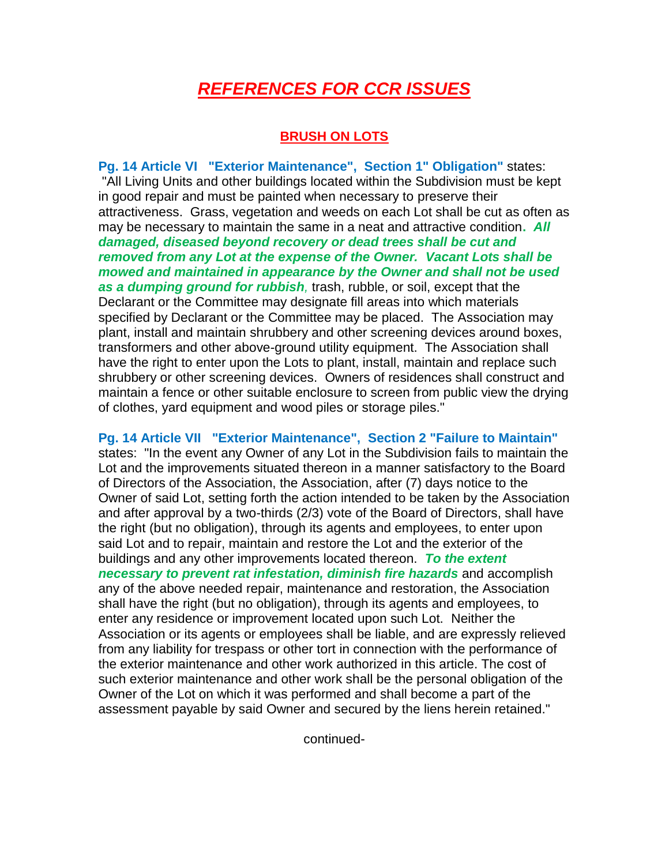# *REFERENCES FOR CCR ISSUES*

# **BRUSH ON LOTS**

**Pg. 14 Article VI "Exterior Maintenance", Section 1" Obligation"** states: "All Living Units and other buildings located within the Subdivision must be kept in good repair and must be painted when necessary to preserve their attractiveness. Grass, vegetation and weeds on each Lot shall be cut as often as may be necessary to maintain the same in a neat and attractive condition**.** *All damaged, diseased beyond recovery or dead trees shall be cut and removed from any Lot at the expense of the Owner. Vacant Lots shall be mowed and maintained in appearance by the Owner and shall not be used as a dumping ground for rubbish,* trash, rubble, or soil, except that the Declarant or the Committee may designate fill areas into which materials specified by Declarant or the Committee may be placed. The Association may plant, install and maintain shrubbery and other screening devices around boxes, transformers and other above-ground utility equipment. The Association shall have the right to enter upon the Lots to plant, install, maintain and replace such shrubbery or other screening devices. Owners of residences shall construct and maintain a fence or other suitable enclosure to screen from public view the drying of clothes, yard equipment and wood piles or storage piles."

# **Pg. 14 Article VII "Exterior Maintenance", Section 2 "Failure to Maintain"**

states: "In the event any Owner of any Lot in the Subdivision fails to maintain the Lot and the improvements situated thereon in a manner satisfactory to the Board of Directors of the Association, the Association, after (7) days notice to the Owner of said Lot, setting forth the action intended to be taken by the Association and after approval by a two-thirds (2/3) vote of the Board of Directors, shall have the right (but no obligation), through its agents and employees, to enter upon said Lot and to repair, maintain and restore the Lot and the exterior of the buildings and any other improvements located thereon. *To the extent necessary to prevent rat infestation, diminish fire hazards* and accomplish any of the above needed repair, maintenance and restoration, the Association shall have the right (but no obligation), through its agents and employees, to enter any residence or improvement located upon such Lot. Neither the Association or its agents or employees shall be liable, and are expressly relieved from any liability for trespass or other tort in connection with the performance of the exterior maintenance and other work authorized in this article. The cost of such exterior maintenance and other work shall be the personal obligation of the Owner of the Lot on which it was performed and shall become a part of the assessment payable by said Owner and secured by the liens herein retained."

continued-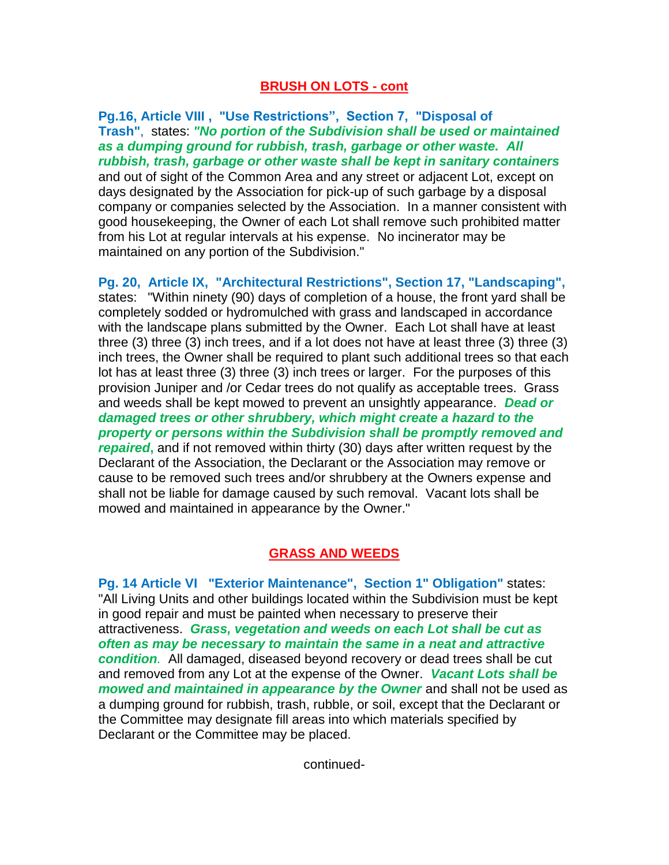### **BRUSH ON LOTS - cont**

**Pg.16, Article VIII , "Use Restrictions", Section 7, "Disposal of Trash"**, states: *"No portion of the Subdivision shall be used or maintained as a dumping ground for rubbish, trash, garbage or other waste. All rubbish, trash, garbage or other waste shall be kept in sanitary containers* and out of sight of the Common Area and any street or adjacent Lot, except on days designated by the Association for pick-up of such garbage by a disposal company or companies selected by the Association. In a manner consistent with good housekeeping, the Owner of each Lot shall remove such prohibited matter from his Lot at regular intervals at his expense. No incinerator may be maintained on any portion of the Subdivision."

**Pg. 20, Article IX, "Architectural Restrictions", Section 17, "Landscaping",** states: "Within ninety (90) days of completion of a house, the front yard shall be completely sodded or hydromulched with grass and landscaped in accordance with the landscape plans submitted by the Owner. Each Lot shall have at least three (3) three (3) inch trees, and if a lot does not have at least three (3) three (3) inch trees, the Owner shall be required to plant such additional trees so that each lot has at least three (3) three (3) inch trees or larger. For the purposes of this provision Juniper and /or Cedar trees do not qualify as acceptable trees. Grass and weeds shall be kept mowed to prevent an unsightly appearance. *Dead or damaged trees or other shrubbery, which might create a hazard to the property or persons within the Subdivision shall be promptly removed and repaired***,** and if not removed within thirty (30) days after written request by the Declarant of the Association, the Declarant or the Association may remove or cause to be removed such trees and/or shrubbery at the Owners expense and shall not be liable for damage caused by such removal. Vacant lots shall be mowed and maintained in appearance by the Owner."

# **GRASS AND WEEDS**

**Pg. 14 Article VI "Exterior Maintenance", Section 1" Obligation"** states: "All Living Units and other buildings located within the Subdivision must be kept in good repair and must be painted when necessary to preserve their attractiveness. *Grass, vegetation and weeds on each Lot shall be cut as often as may be necessary to maintain the same in a neat and attractive condition.* All damaged, diseased beyond recovery or dead trees shall be cut and removed from any Lot at the expense of the Owner. *Vacant Lots shall be mowed and maintained in appearance by the Owner* and shall not be used as a dumping ground for rubbish, trash, rubble, or soil, except that the Declarant or the Committee may designate fill areas into which materials specified by Declarant or the Committee may be placed.

continued-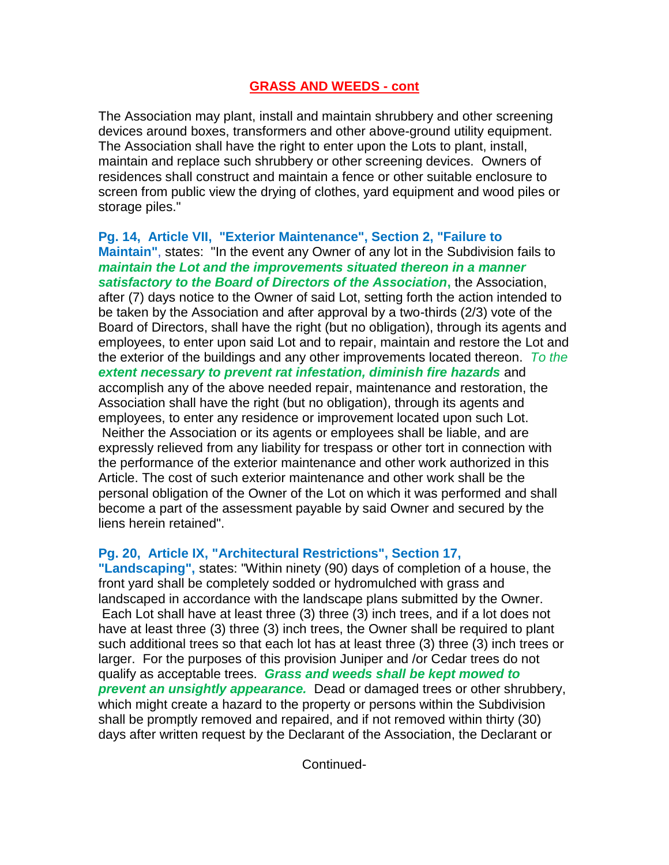### **GRASS AND WEEDS - cont**

The Association may plant, install and maintain shrubbery and other screening devices around boxes, transformers and other above-ground utility equipment. The Association shall have the right to enter upon the Lots to plant, install, maintain and replace such shrubbery or other screening devices. Owners of residences shall construct and maintain a fence or other suitable enclosure to screen from public view the drying of clothes, yard equipment and wood piles or storage piles."

**Pg. 14, Article VII, "Exterior Maintenance", Section 2, "Failure to Maintain"**, states: "In the event any Owner of any lot in the Subdivision fails to *maintain the Lot and the improvements situated thereon in a manner satisfactory to the Board of Directors of the Association***,** the Association, after (7) days notice to the Owner of said Lot, setting forth the action intended to be taken by the Association and after approval by a two-thirds (2/3) vote of the Board of Directors, shall have the right (but no obligation), through its agents and employees, to enter upon said Lot and to repair, maintain and restore the Lot and the exterior of the buildings and any other improvements located thereon. *To the extent necessary to prevent rat infestation, diminish fire hazards* and accomplish any of the above needed repair, maintenance and restoration, the Association shall have the right (but no obligation), through its agents and employees, to enter any residence or improvement located upon such Lot. Neither the Association or its agents or employees shall be liable, and are expressly relieved from any liability for trespass or other tort in connection with the performance of the exterior maintenance and other work authorized in this Article. The cost of such exterior maintenance and other work shall be the personal obligation of the Owner of the Lot on which it was performed and shall become a part of the assessment payable by said Owner and secured by the liens herein retained".

# **Pg. 20, Article IX, "Architectural Restrictions", Section 17,**

**"Landscaping",** states: "Within ninety (90) days of completion of a house, the front yard shall be completely sodded or hydromulched with grass and landscaped in accordance with the landscape plans submitted by the Owner. Each Lot shall have at least three (3) three (3) inch trees, and if a lot does not have at least three (3) three (3) inch trees, the Owner shall be required to plant such additional trees so that each lot has at least three (3) three (3) inch trees or larger. For the purposes of this provision Juniper and /or Cedar trees do not qualify as acceptable trees. *Grass and weeds shall be kept mowed to prevent an unsightly appearance.* Dead or damaged trees or other shrubbery, which might create a hazard to the property or persons within the Subdivision shall be promptly removed and repaired, and if not removed within thirty (30) days after written request by the Declarant of the Association, the Declarant or

Continued-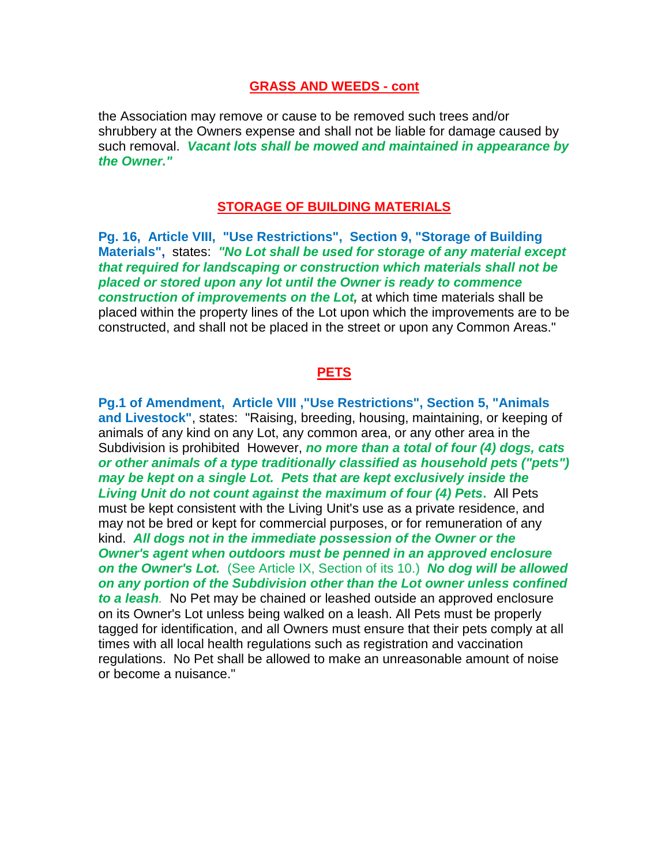#### **GRASS AND WEEDS - cont**

the Association may remove or cause to be removed such trees and/or shrubbery at the Owners expense and shall not be liable for damage caused by such removal. *Vacant lots shall be mowed and maintained in appearance by the Owner."*

## **STORAGE OF BUILDING MATERIALS**

**Pg. 16, Article VIII, "Use Restrictions", Section 9, "Storage of Building Materials",** states: *"No Lot shall be used for storage of any material except that required for landscaping or construction which materials shall not be placed or stored upon any lot until the Owner is ready to commence construction of improvements on the Lot,* at which time materials shall be placed within the property lines of the Lot upon which the improvements are to be constructed, and shall not be placed in the street or upon any Common Areas."

# **PETS**

**Pg.1 of Amendment, Article VIII ,"Use Restrictions", Section 5, "Animals and Livestock"**, states: "Raising, breeding, housing, maintaining, or keeping of animals of any kind on any Lot, any common area, or any other area in the Subdivision is prohibited However, *no more than a total of four (4) dogs, cats or other animals of a type traditionally classified as household pets ("pets") may be kept on a single Lot. Pets that are kept exclusively inside the Living Unit do not count against the maximum of four (4) Pets***.** All Pets must be kept consistent with the Living Unit's use as a private residence, and may not be bred or kept for commercial purposes, or for remuneration of any kind. *All dogs not in the immediate possession of the Owner or the Owner's agent when outdoors must be penned in an approved enclosure on the Owner's Lot.* (See Article IX, Section of its 10.) *No dog will be allowed on any portion of the Subdivision other than the Lot owner unless confined to a leash.* No Pet may be chained or leashed outside an approved enclosure on its Owner's Lot unless being walked on a leash. All Pets must be properly tagged for identification, and all Owners must ensure that their pets comply at all times with all local health regulations such as registration and vaccination regulations. No Pet shall be allowed to make an unreasonable amount of noise or become a nuisance."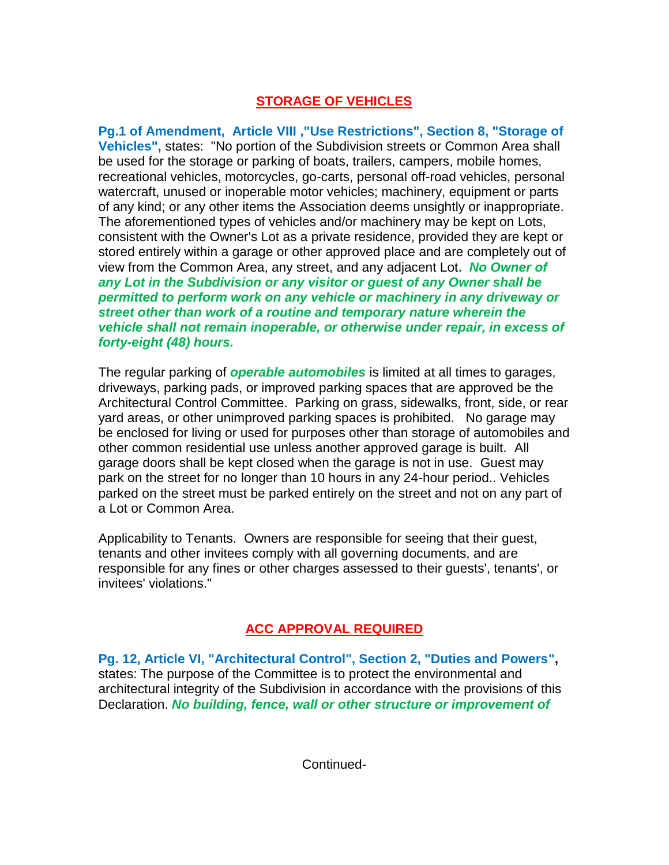# **STORAGE OF VEHICLES**

**Pg.1 of Amendment, Article VIII ,"Use Restrictions", Section 8, "Storage of Vehicles",** states: "No portion of the Subdivision streets or Common Area shall be used for the storage or parking of boats, trailers, campers, mobile homes, recreational vehicles, motorcycles, go-carts, personal off-road vehicles, personal watercraft, unused or inoperable motor vehicles; machinery, equipment or parts of any kind; or any other items the Association deems unsightly or inappropriate. The aforementioned types of vehicles and/or machinery may be kept on Lots, consistent with the Owner's Lot as a private residence, provided they are kept or stored entirely within a garage or other approved place and are completely out of view from the Common Area, any street, and any adjacent Lot**.** *No Owner of any Lot in the Subdivision or any visitor or guest of any Owner shall be permitted to perform work on any vehicle or machinery in any driveway or street other than work of a routine and temporary nature wherein the vehicle shall not remain inoperable, or otherwise under repair, in excess of forty-eight (48) hours.* 

The regular parking of *operable automobiles* is limited at all times to garages, driveways, parking pads, or improved parking spaces that are approved be the Architectural Control Committee. Parking on grass, sidewalks, front, side, or rear yard areas, or other unimproved parking spaces is prohibited. No garage may be enclosed for living or used for purposes other than storage of automobiles and other common residential use unless another approved garage is built. All garage doors shall be kept closed when the garage is not in use. Guest may park on the street for no longer than 10 hours in any 24-hour period.. Vehicles parked on the street must be parked entirely on the street and not on any part of a Lot or Common Area.

Applicability to Tenants. Owners are responsible for seeing that their guest, tenants and other invitees comply with all governing documents, and are responsible for any fines or other charges assessed to their guests', tenants', or invitees' violations."

# **ACC APPROVAL REQUIRED**

**Pg. 12, Article VI, "Architectural Control", Section 2, "Duties and Powers",** states: The purpose of the Committee is to protect the environmental and architectural integrity of the Subdivision in accordance with the provisions of this Declaration. *No building, fence, wall or other structure or improvement of*

Continued-